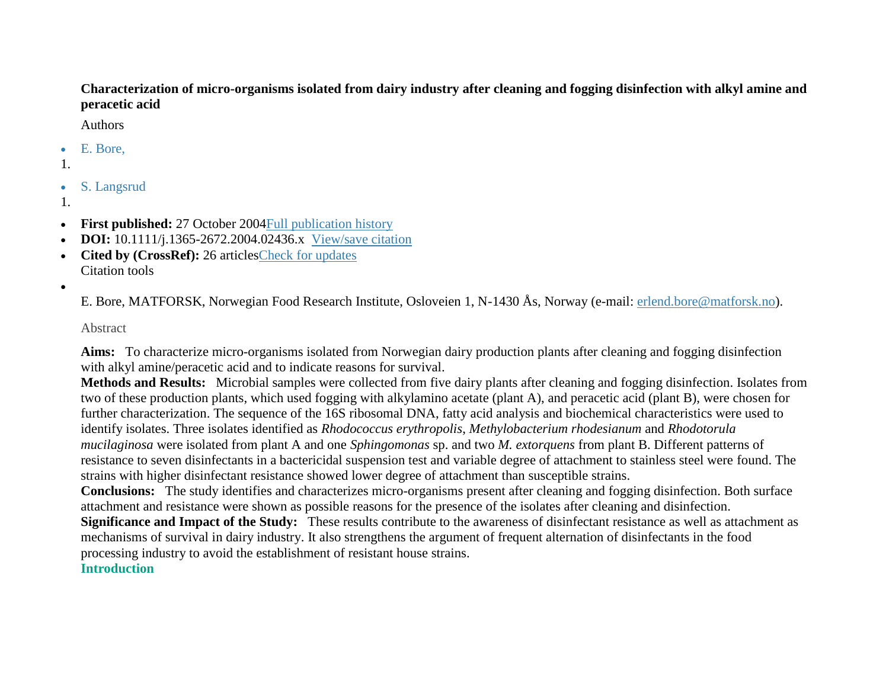### **Characterization of micro-organisms isolated from dairy industry after cleaning and fogging disinfection with alkyl amine and peracetic acid**

Authors

- E. Bore,
- 1.
- S. Langsrud
- 1.
- **First published:** 27 October 200[4Full publication history](http://onlinelibrary.wiley.com/doi/10.1111/j.1365-2672.2004.02436.x/full#publication-history)
- **DOI:** 10.1111/j.1365-2672.2004.02436.x [View/save citation](http://onlinelibrary.wiley.com/enhanced/exportCitation/doi/10.1111/j.1365-2672.2004.02436.x)
- **Cited by (CrossRef):** 26 article[sCheck for updates](http://onlinelibrary.wiley.com/enhanced/refreshCitedBy?doi=10.1111/j.1365-2672.2004.02436.x&refreshCitedByCounter=true) Citation tools
- $\bullet$

E. Bore, MATFORSK, Norwegian Food Research Institute, Osloveien 1, N-1430 Ås, Norway (e-mail: [erlend.bore@matforsk.no\)](mailto:erlend.bore@matforsk.no).

Abstract

**Aims:** To characterize micro-organisms isolated from Norwegian dairy production plants after cleaning and fogging disinfection with alkyl amine/peracetic acid and to indicate reasons for survival.

**Methods and Results:** Microbial samples were collected from five dairy plants after cleaning and fogging disinfection. Isolates from two of these production plants, which used fogging with alkylamino acetate (plant A), and peracetic acid (plant B), were chosen for further characterization. The sequence of the 16S ribosomal DNA, fatty acid analysis and biochemical characteristics were used to identify isolates. Three isolates identified as *Rhodococcus erythropolis*, *Methylobacterium rhodesianum* and *Rhodotorula mucilaginosa* were isolated from plant A and one *Sphingomonas* sp. and two *M. extorquens* from plant B. Different patterns of resistance to seven disinfectants in a bactericidal suspension test and variable degree of attachment to stainless steel were found. The strains with higher disinfectant resistance showed lower degree of attachment than susceptible strains.

**Conclusions:** The study identifies and characterizes micro-organisms present after cleaning and fogging disinfection. Both surface attachment and resistance were shown as possible reasons for the presence of the isolates after cleaning and disinfection.

**Significance and Impact of the Study:** These results contribute to the awareness of disinfectant resistance as well as attachment as mechanisms of survival in dairy industry. It also strengthens the argument of frequent alternation of disinfectants in the food processing industry to avoid the establishment of resistant house strains.

**Introduction**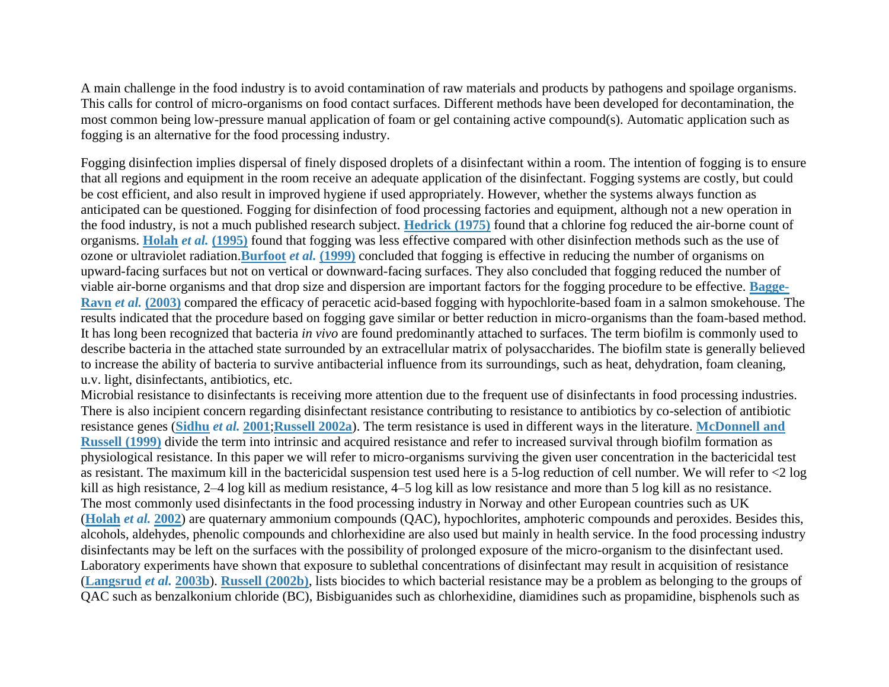A main challenge in the food industry is to avoid contamination of raw materials and products by pathogens and spoilage organisms. This calls for control of micro-organisms on food contact surfaces. Different methods have been developed for decontamination, the most common being low-pressure manual application of foam or gel containing active compound(s). Automatic application such as fogging is an alternative for the food processing industry.

Fogging disinfection implies dispersal of finely disposed droplets of a disinfectant within a room. The intention of fogging is to ensure that all regions and equipment in the room receive an adequate application of the disinfectant. Fogging systems are costly, but could be cost efficient, and also result in improved hygiene if used appropriately. However, whether the systems always function as anticipated can be questioned. Fogging for disinfection of food processing factories and equipment, although not a new operation in the food industry, is not a much published research subject. **[Hedrick \(1975\)](http://onlinelibrary.wiley.com/doi/10.1111/j.1365-2672.2004.02436.x/full#b13)** found that a chlorine fog reduced the air-borne count of organisms. **Holah** *et al.* **[\(1995\)](http://onlinelibrary.wiley.com/doi/10.1111/j.1365-2672.2004.02436.x/full#b14)** found that fogging was less effective compared with other disinfection methods such as the use of ozone or ultraviolet radiation.**[Burfoot](http://onlinelibrary.wiley.com/doi/10.1111/j.1365-2672.2004.02436.x/full#b5)** *et al.* **(1999)** concluded that fogging is effective in reducing the number of organisms on upward-facing surfaces but not on vertical or downward-facing surfaces. They also concluded that fogging reduced the number of viable air-borne organisms and that drop size and dispersion are important factors for the fogging procedure to be effective. **[Bagge-](http://onlinelibrary.wiley.com/doi/10.1111/j.1365-2672.2004.02436.x/full#b3)Ravn** *et al.* **[\(2003\)](http://onlinelibrary.wiley.com/doi/10.1111/j.1365-2672.2004.02436.x/full#b3)** compared the efficacy of peracetic acid-based fogging with hypochlorite-based foam in a salmon smokehouse. The results indicated that the procedure based on fogging gave similar or better reduction in micro-organisms than the foam-based method. It has long been recognized that bacteria *in vivo* are found predominantly attached to surfaces. The term biofilm is commonly used to describe bacteria in the attached state surrounded by an extracellular matrix of polysaccharides. The biofilm state is generally believed to increase the ability of bacteria to survive antibacterial influence from its surroundings, such as heat, dehydration, foam cleaning, u.v. light, disinfectants, antibiotics, etc.

Microbial resistance to disinfectants is receiving more attention due to the frequent use of disinfectants in food processing industries. There is also incipient concern regarding disinfectant resistance contributing to resistance to antibiotics by co-selection of antibiotic resistance genes (**[Sidhu](http://onlinelibrary.wiley.com/doi/10.1111/j.1365-2672.2004.02436.x/full#b36)** *et al.* **2001**;**[Russell 2002a](http://onlinelibrary.wiley.com/doi/10.1111/j.1365-2672.2004.02436.x/full#b31)**). The term resistance is used in different ways in the literature. **[McDonnell and](http://onlinelibrary.wiley.com/doi/10.1111/j.1365-2672.2004.02436.x/full#b22)  [Russell \(1999\)](http://onlinelibrary.wiley.com/doi/10.1111/j.1365-2672.2004.02436.x/full#b22)** divide the term into intrinsic and acquired resistance and refer to increased survival through biofilm formation as physiological resistance. In this paper we will refer to micro-organisms surviving the given user concentration in the bactericidal test as resistant. The maximum kill in the bactericidal suspension test used here is a 5-log reduction of cell number. We will refer to <2 log kill as high resistance, 2–4 log kill as medium resistance, 4–5 log kill as low resistance and more than 5 log kill as no resistance. The most commonly used disinfectants in the food processing industry in Norway and other European countries such as UK (**[Holah](http://onlinelibrary.wiley.com/doi/10.1111/j.1365-2672.2004.02436.x/full#b15)** *et al.* **2002**) are quaternary ammonium compounds (QAC), hypochlorites, amphoteric compounds and peroxides. Besides this, alcohols, aldehydes, phenolic compounds and chlorhexidine are also used but mainly in health service. In the food processing industry disinfectants may be left on the surfaces with the possibility of prolonged exposure of the micro-organism to the disinfectant used. Laboratory experiments have shown that exposure to sublethal concentrations of disinfectant may result in acquisition of resistance (**[Langsrud](http://onlinelibrary.wiley.com/doi/10.1111/j.1365-2672.2004.02436.x/full#b20)** *et al.* **2003b**). **[Russell \(2002b\)](http://onlinelibrary.wiley.com/doi/10.1111/j.1365-2672.2004.02436.x/full#b32)**, lists biocides to which bacterial resistance may be a problem as belonging to the groups of QAC such as benzalkonium chloride (BC), Bisbiguanides such as chlorhexidine, diamidines such as propamidine, bisphenols such as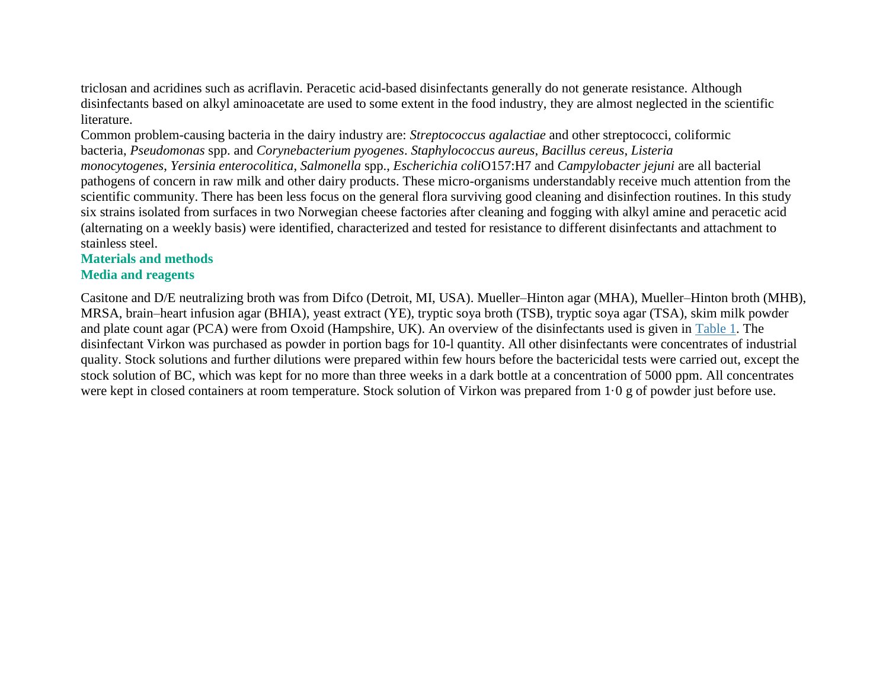triclosan and acridines such as acriflavin. Peracetic acid-based disinfectants generally do not generate resistance. Although disinfectants based on alkyl aminoacetate are used to some extent in the food industry, they are almost neglected in the scientific literature.

Common problem-causing bacteria in the dairy industry are: *Streptococcus agalactiae* and other streptococci, coliformic bacteria, *Pseudomonas* spp. and *Corynebacterium pyogenes*. *Staphylococcus aureus*, *Bacillus cereus*, *Listeria monocytogenes*, *Yersinia enterocolitica*, *Salmonella* spp., *Escherichia coli*O157:H7 and *Campylobacter jejuni* are all bacterial pathogens of concern in raw milk and other dairy products. These micro-organisms understandably receive much attention from the scientific community. There has been less focus on the general flora surviving good cleaning and disinfection routines. In this study six strains isolated from surfaces in two Norwegian cheese factories after cleaning and fogging with alkyl amine and peracetic acid (alternating on a weekly basis) were identified, characterized and tested for resistance to different disinfectants and attachment to stainless steel.

# **Materials and methods**

#### **Media and reagents**

Casitone and D/E neutralizing broth was from Difco (Detroit, MI, USA). Mueller–Hinton agar (MHA), Mueller–Hinton broth (MHB), MRSA, brain–heart infusion agar (BHIA), yeast extract (YE), tryptic soya broth (TSB), tryptic soya agar (TSA), skim milk powder and plate count agar (PCA) were from Oxoid (Hampshire, UK). An overview of the disinfectants used is given in [Table](http://onlinelibrary.wiley.com/doi/10.1111/j.1365-2672.2004.02436.x/full#t1) 1. The disinfectant Virkon was purchased as powder in portion bags for 10-l quantity. All other disinfectants were concentrates of industrial quality. Stock solutions and further dilutions were prepared within few hours before the bactericidal tests were carried out, except the stock solution of BC, which was kept for no more than three weeks in a dark bottle at a concentration of 5000 ppm. All concentrates were kept in closed containers at room temperature. Stock solution of Virkon was prepared from 1·0 g of powder just before use.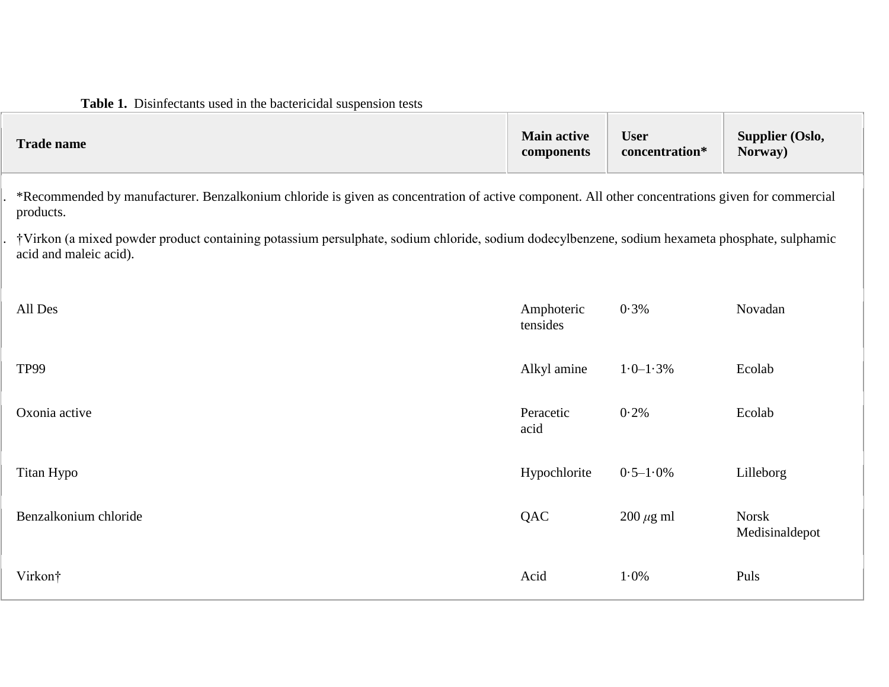## **Table 1.** Disinfectants used in the bactericidal suspension tests

| <b>Trade name</b>                                                                                                                                                        | <b>Main active</b><br>components | <b>User</b><br>concentration* | Supplier (Oslo,<br>Norway)     |
|--------------------------------------------------------------------------------------------------------------------------------------------------------------------------|----------------------------------|-------------------------------|--------------------------------|
| *Recommended by manufacturer. Benzalkonium chloride is given as concentration of active component. All other concentrations given for commercial<br>products.            |                                  |                               |                                |
| †Virkon (a mixed powder product containing potassium persulphate, sodium chloride, sodium dodecylbenzene, sodium hexameta phosphate, sulphamic<br>acid and maleic acid). |                                  |                               |                                |
| All Des                                                                                                                                                                  | Amphoteric<br>tensides           | 0.3%                          | Novadan                        |
| <b>TP99</b>                                                                                                                                                              | Alkyl amine                      | $1.0 - 1.3\%$                 | Ecolab                         |
| Oxonia active                                                                                                                                                            | Peracetic<br>acid                | 0.2%                          | Ecolab                         |
| Titan Hypo                                                                                                                                                               | Hypochlorite                     | $0.5 - 1.0\%$                 | Lilleborg                      |
| Benzalkonium chloride                                                                                                                                                    | QAC                              | $200 \mu g$ ml                | <b>Norsk</b><br>Medisinaldepot |
| Virkon†                                                                                                                                                                  | Acid                             | 1.0%                          | Puls                           |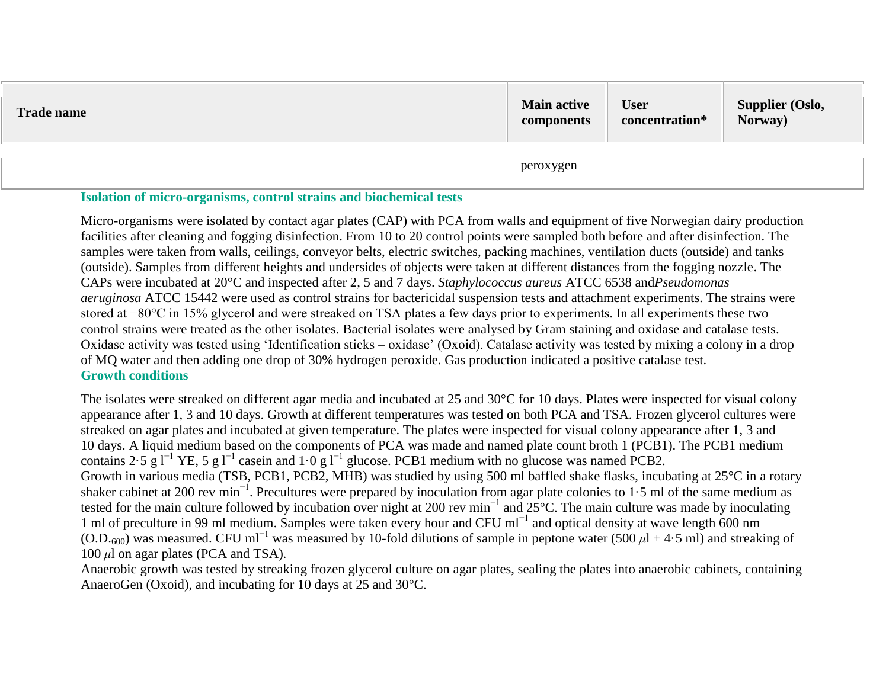| <b>Trade name</b> | <b>Main active</b><br>components | <b>User</b><br>concentration* | Supplier (Oslo,<br>Norway) |
|-------------------|----------------------------------|-------------------------------|----------------------------|
|                   | peroxygen                        |                               |                            |

#### **Isolation of micro-organisms, control strains and biochemical tests**

Micro-organisms were isolated by contact agar plates (CAP) with PCA from walls and equipment of five Norwegian dairy production facilities after cleaning and fogging disinfection. From 10 to 20 control points were sampled both before and after disinfection. The samples were taken from walls, ceilings, conveyor belts, electric switches, packing machines, ventilation ducts (outside) and tanks (outside). Samples from different heights and undersides of objects were taken at different distances from the fogging nozzle. The CAPs were incubated at 20°C and inspected after 2, 5 and 7 days. *Staphylococcus aureus* ATCC 6538 and*Pseudomonas aeruginosa* ATCC 15442 were used as control strains for bactericidal suspension tests and attachment experiments. The strains were stored at −80°C in 15% glycerol and were streaked on TSA plates a few days prior to experiments. In all experiments these two control strains were treated as the other isolates. Bacterial isolates were analysed by Gram staining and oxidase and catalase tests. Oxidase activity was tested using 'Identification sticks – oxidase' (Oxoid). Catalase activity was tested by mixing a colony in a drop of MQ water and then adding one drop of 30% hydrogen peroxide. Gas production indicated a positive catalase test. **Growth conditions**

The isolates were streaked on different agar media and incubated at 25 and 30°C for 10 days. Plates were inspected for visual colony appearance after 1, 3 and 10 days. Growth at different temperatures was tested on both PCA and TSA. Frozen glycerol cultures were streaked on agar plates and incubated at given temperature. The plates were inspected for visual colony appearance after 1, 3 and 10 days. A liquid medium based on the components of PCA was made and named plate count broth 1 (PCB1). The PCB1 medium contains 2.5 g  $1^{-1}$  YE, 5 g  $1^{-1}$  casein and  $1.0$  g  $1^{-1}$  glucose. PCB1 medium with no glucose was named PCB2. Growth in various media (TSB, PCB1, PCB2, MHB) was studied by using 500 ml baffled shake flasks, incubating at 25°C in a rotary shaker cabinet at 200 rev min−1. Precultures were prepared by inoculation from agar plate colonies to 1·5 ml of the same medium as tested for the main culture followed by incubation over night at 200 rev min−1 and 25°C. The main culture was made by inoculating 1 ml of preculture in 99 ml medium. Samples were taken every hour and CFU ml−1 and optical density at wave length 600 nm (O.D.600) was measured. CFU ml−1 was measured by 10-fold dilutions of sample in peptone water (500 *μ*l + 4·5 ml) and streaking of  $100 \mu l$  on agar plates (PCA and TSA).

Anaerobic growth was tested by streaking frozen glycerol culture on agar plates, sealing the plates into anaerobic cabinets, containing AnaeroGen (Oxoid), and incubating for 10 days at 25 and 30°C.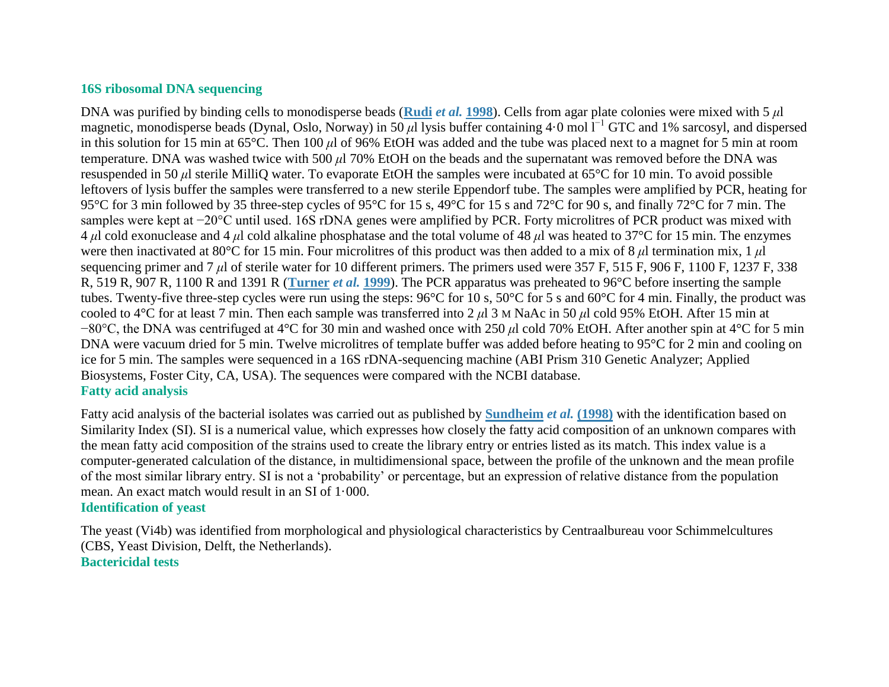#### **16S ribosomal DNA sequencing**

DNA was purified by binding cells to monodisperse beads (**[Rudi](http://onlinelibrary.wiley.com/doi/10.1111/j.1365-2672.2004.02436.x/full#b30)** *et al.* **1998**). Cells from agar plate colonies were mixed with 5 *μ*l magnetic, monodisperse beads (Dynal, Oslo, Norway) in 50 *μl* lysis buffer containing 4.0 mol l<sup>-1</sup> GTC and 1% sarcosyl, and dispersed in this solution for 15 min at 65°C. Then 100 *μ*l of 96% EtOH was added and the tube was placed next to a magnet for 5 min at room temperature. DNA was washed twice with 500 *μ*l 70% EtOH on the beads and the supernatant was removed before the DNA was resuspended in 50 *μ*l sterile MilliQ water. To evaporate EtOH the samples were incubated at 65°C for 10 min. To avoid possible leftovers of lysis buffer the samples were transferred to a new sterile Eppendorf tube. The samples were amplified by PCR, heating for 95°C for 3 min followed by 35 three-step cycles of 95°C for 15 s, 49°C for 15 s and 72°C for 90 s, and finally 72°C for 7 min. The samples were kept at −20°C until used. 16S rDNA genes were amplified by PCR. Forty microlitres of PCR product was mixed with 4 *μ*l cold exonuclease and 4 *μ*l cold alkaline phosphatase and the total volume of 48 *μ*l was heated to 37°C for 15 min. The enzymes were then inactivated at 80°C for 15 min. Four microlitres of this product was then added to a mix of 8 *μ*l termination mix, 1 *μ*l sequencing primer and 7 *μ*l of sterile water for 10 different primers. The primers used were 357 F, 515 F, 906 F, 1100 F, 1237 F, 338 R, 519 R, 907 R, 1100 R and 1391 R (**[Turner](http://onlinelibrary.wiley.com/doi/10.1111/j.1365-2672.2004.02436.x/full#b41)** *et al.* **1999**). The PCR apparatus was preheated to 96°C before inserting the sample tubes. Twenty-five three-step cycles were run using the steps: 96°C for 10 s, 50°C for 5 s and 60°C for 4 min. Finally, the product was cooled to 4°C for at least 7 min. Then each sample was transferred into 2 *μ*l 3 M NaAc in 50 *μ*l cold 95% EtOH. After 15 min at −80°C, the DNA was centrifuged at 4°C for 30 min and washed once with 250 *μ*l cold 70% EtOH. After another spin at 4°C for 5 min DNA were vacuum dried for 5 min. Twelve microlitres of template buffer was added before heating to 95°C for 2 min and cooling on ice for 5 min. The samples were sequenced in a 16S rDNA-sequencing machine (ABI Prism 310 Genetic Analyzer; Applied Biosystems, Foster City, CA, USA). The sequences were compared with the NCBI database. **Fatty acid analysis**

Fatty acid analysis of the bacterial isolates was carried out as published by **[Sundheim](http://onlinelibrary.wiley.com/doi/10.1111/j.1365-2672.2004.02436.x/full#b38)** *et al.* **(1998)** with the identification based on Similarity Index (SI). SI is a numerical value, which expresses how closely the fatty acid composition of an unknown compares with the mean fatty acid composition of the strains used to create the library entry or entries listed as its match. This index value is a computer-generated calculation of the distance, in multidimensional space, between the profile of the unknown and the mean profile of the most similar library entry. SI is not a 'probability' or percentage, but an expression of relative distance from the population mean. An exact match would result in an SI of 1·000. **Identification of yeast**

The yeast (Vi4b) was identified from morphological and physiological characteristics by Centraalbureau voor Schimmelcultures (CBS, Yeast Division, Delft, the Netherlands). **Bactericidal tests**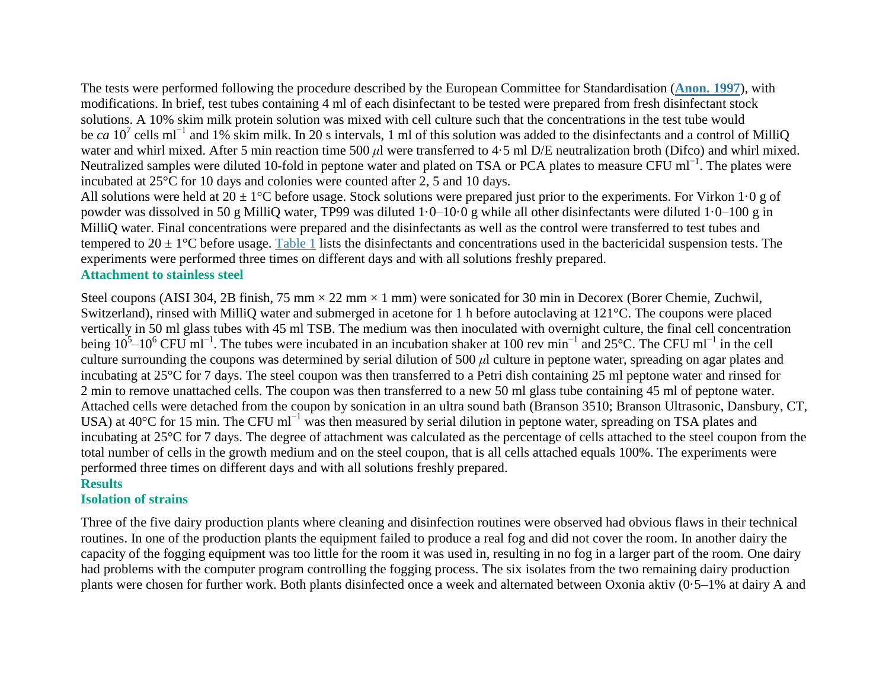The tests were performed following the procedure described by the European Committee for Standardisation (**[Anon. 1997](http://onlinelibrary.wiley.com/doi/10.1111/j.1365-2672.2004.02436.x/full#b2)**), with modifications. In brief, test tubes containing 4 ml of each disinfectant to be tested were prepared from fresh disinfectant stock solutions. A 10% skim milk protein solution was mixed with cell culture such that the concentrations in the test tube would be *ca* 10<sup>7</sup> cells ml<sup>-1</sup> and 1% skim milk. In 20 s intervals, 1 ml of this solution was added to the disinfectants and a control of MilliQ water and whirl mixed. After 5 min reaction time 500 *μ*l were transferred to 4·5 ml D/E neutralization broth (Difco) and whirl mixed. Neutralized samples were diluted 10-fold in peptone water and plated on TSA or PCA plates to measure CFU ml<sup>−1</sup>. The plates were incubated at 25°C for 10 days and colonies were counted after 2, 5 and 10 days.

All solutions were held at  $20 \pm 1^{\circ}$ C before usage. Stock solutions were prepared just prior to the experiments. For Virkon 1.0 g of powder was dissolved in 50 g MilliQ water, TP99 was diluted 1·0–10·0 g while all other disinfectants were diluted 1·0–100 g in MilliQ water. Final concentrations were prepared and the disinfectants as well as the control were transferred to test tubes and tempered to  $20 \pm 1$ °C before usage. [Table](http://onlinelibrary.wiley.com/doi/10.1111/j.1365-2672.2004.02436.x/full#t1) 1 lists the disinfectants and concentrations used in the bactericidal suspension tests. The experiments were performed three times on different days and with all solutions freshly prepared.

#### **Attachment to stainless steel**

Steel coupons (AISI 304, 2B finish, 75 mm  $\times$  22 mm  $\times$  1 mm) were sonicated for 30 min in Decorex (Borer Chemie, Zuchwil, Switzerland), rinsed with MilliQ water and submerged in acetone for 1 h before autoclaving at 121°C. The coupons were placed vertically in 50 ml glass tubes with 45 ml TSB. The medium was then inoculated with overnight culture, the final cell concentration being  $10^5 - 10^6$  CFU ml<sup>-1</sup>. The tubes were incubated in an incubation shaker at 100 rev min<sup>-1</sup> and 25°C. The CFU ml<sup>-1</sup> in the cell culture surrounding the coupons was determined by serial dilution of 500 *μ*l culture in peptone water, spreading on agar plates and incubating at 25°C for 7 days. The steel coupon was then transferred to a Petri dish containing 25 ml peptone water and rinsed for 2 min to remove unattached cells. The coupon was then transferred to a new 50 ml glass tube containing 45 ml of peptone water. Attached cells were detached from the coupon by sonication in an ultra sound bath (Branson 3510; Branson Ultrasonic, Dansbury, CT, USA) at 40°C for 15 min. The CFU ml<sup>-1</sup> was then measured by serial dilution in peptone water, spreading on TSA plates and incubating at 25°C for 7 days. The degree of attachment was calculated as the percentage of cells attached to the steel coupon from the total number of cells in the growth medium and on the steel coupon, that is all cells attached equals 100%. The experiments were performed three times on different days and with all solutions freshly prepared.

#### **Results**

#### **Isolation of strains**

Three of the five dairy production plants where cleaning and disinfection routines were observed had obvious flaws in their technical routines. In one of the production plants the equipment failed to produce a real fog and did not cover the room. In another dairy the capacity of the fogging equipment was too little for the room it was used in, resulting in no fog in a larger part of the room. One dairy had problems with the computer program controlling the fogging process. The six isolates from the two remaining dairy production plants were chosen for further work. Both plants disinfected once a week and alternated between Oxonia aktiv (0·5–1% at dairy A and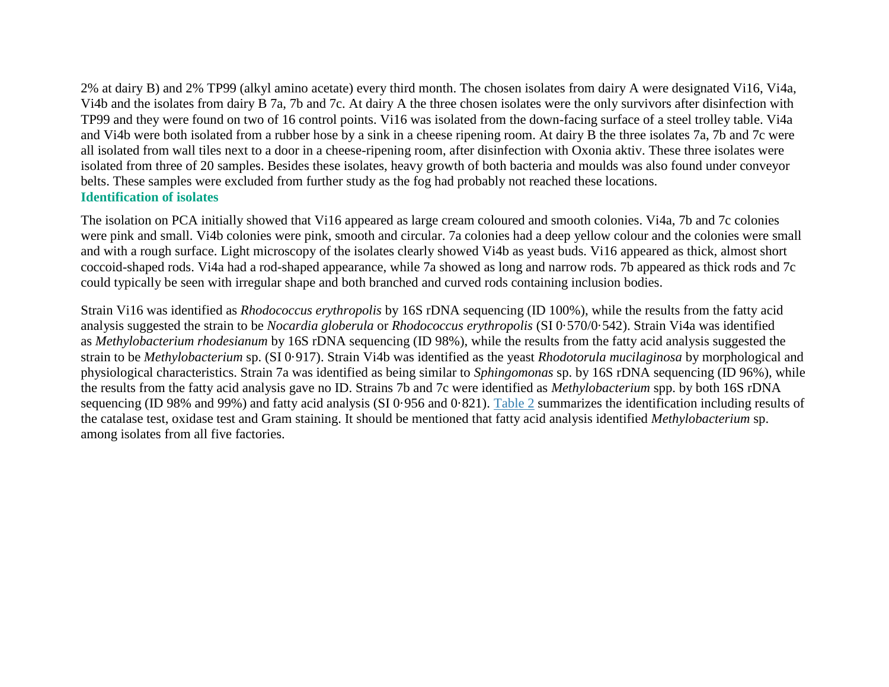2% at dairy B) and 2% TP99 (alkyl amino acetate) every third month. The chosen isolates from dairy A were designated Vi16, Vi4a, Vi4b and the isolates from dairy B 7a, 7b and 7c. At dairy A the three chosen isolates were the only survivors after disinfection with TP99 and they were found on two of 16 control points. Vi16 was isolated from the down-facing surface of a steel trolley table. Vi4a and Vi4b were both isolated from a rubber hose by a sink in a cheese ripening room. At dairy B the three isolates 7a, 7b and 7c were all isolated from wall tiles next to a door in a cheese-ripening room, after disinfection with Oxonia aktiv. These three isolates were isolated from three of 20 samples. Besides these isolates, heavy growth of both bacteria and moulds was also found under conveyor belts. These samples were excluded from further study as the fog had probably not reached these locations. **Identification of isolates**

The isolation on PCA initially showed that Vi16 appeared as large cream coloured and smooth colonies. Vi4a, 7b and 7c colonies were pink and small. Vi4b colonies were pink, smooth and circular. 7a colonies had a deep yellow colour and the colonies were small and with a rough surface. Light microscopy of the isolates clearly showed Vi4b as yeast buds. Vi16 appeared as thick, almost short coccoid-shaped rods. Vi4a had a rod-shaped appearance, while 7a showed as long and narrow rods. 7b appeared as thick rods and 7c could typically be seen with irregular shape and both branched and curved rods containing inclusion bodies.

Strain Vi16 was identified as *Rhodococcus erythropolis* by 16S rDNA sequencing (ID 100%), while the results from the fatty acid analysis suggested the strain to be *Nocardia globerula* or *Rhodococcus erythropolis* (SI 0·570/0·542). Strain Vi4a was identified as *Methylobacterium rhodesianum* by 16S rDNA sequencing (ID 98%), while the results from the fatty acid analysis suggested the strain to be *Methylobacterium* sp. (SI 0·917). Strain Vi4b was identified as the yeast *Rhodotorula mucilaginosa* by morphological and physiological characteristics. Strain 7a was identified as being similar to *Sphingomonas* sp. by 16S rDNA sequencing (ID 96%), while the results from the fatty acid analysis gave no ID. Strains 7b and 7c were identified as *Methylobacterium* spp. by both 16S rDNA sequencing (ID 98% and 99%) and fatty acid analysis (SI 0·956 and 0·821). [Table](http://onlinelibrary.wiley.com/doi/10.1111/j.1365-2672.2004.02436.x/full#t2) 2 summarizes the identification including results of the catalase test, oxidase test and Gram staining. It should be mentioned that fatty acid analysis identified *Methylobacterium* sp. among isolates from all five factories.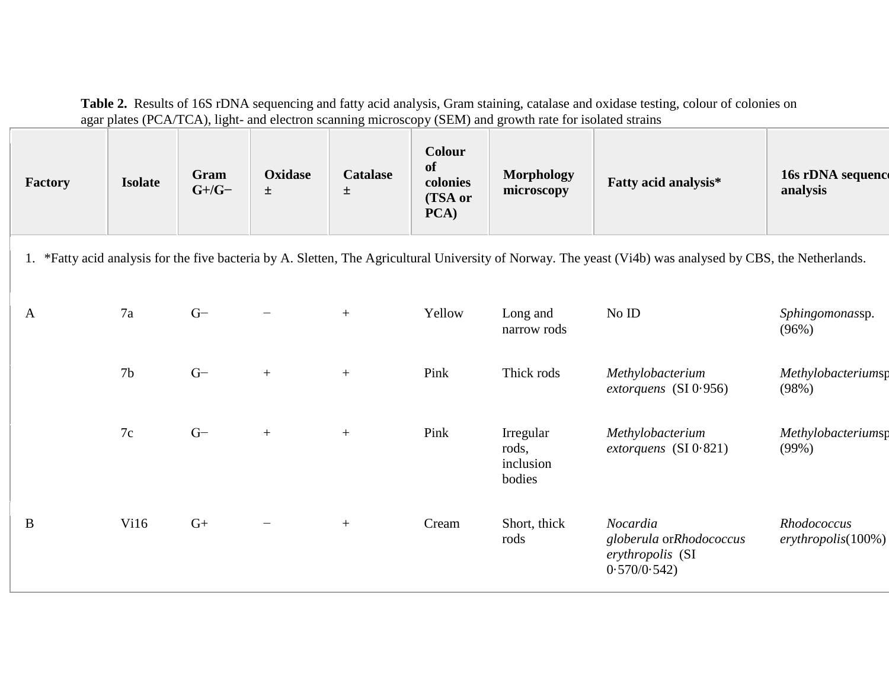| Table 2. Results of 16S rDNA sequencing and fatty acid analysis, Gram staining, catalase and oxidase testing, colour of colonies on |  |  |
|-------------------------------------------------------------------------------------------------------------------------------------|--|--|
| agar plates (PCA/TCA), light- and electron scanning microscopy (SEM) and growth rate for isolated strains                           |  |  |

|--|

1. \*Fatty acid analysis for the five bacteria by A. Sletten, The Agricultural University of Norway. The yeast (Vi4b) was analysed by CBS, the Netherlands.

| $\mathbf{A}$ | 7a             | $G-$ |     | $+$ | Yellow | Long and<br>narrow rods                   | No $ID$                                                                       | Sphingomonassp.<br>(96%)                 |
|--------------|----------------|------|-----|-----|--------|-------------------------------------------|-------------------------------------------------------------------------------|------------------------------------------|
|              | 7 <sub>b</sub> | $G-$ | $+$ | $+$ | Pink   | Thick rods                                | Methylobacterium<br>extorquens $(SI 0.956)$                                   | Methylobacteriumsp<br>(98%)              |
|              | 7c             | $G-$ | $+$ | $+$ | Pink   | Irregular<br>rods,<br>inclusion<br>bodies | Methylobacterium<br>extorquens $(SI 0.821)$                                   | Methylobacteriumsp<br>(99%)              |
| B            | Vi16           | $G+$ |     | $+$ | Cream  | Short, thick<br>rods                      | <b>Nocardia</b><br>globerula orRhodococcus<br>erythropolis (SI<br>0.570/0.542 | Rhodococcus<br>ery through ropolis(100%) |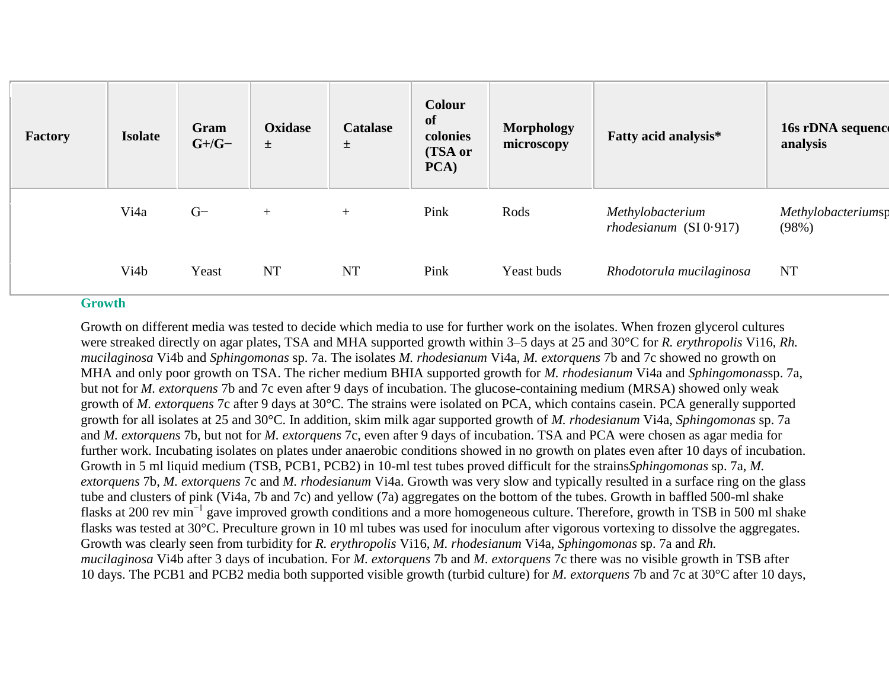| Factory | <b>Isolate</b> | Gram<br>$G + /G -$ | Oxidase<br>土 | <b>Catalase</b><br>$\pm$ | <b>Colour</b><br>of<br>colonies<br>(TSA or<br>PCA) | <b>Morphology</b><br>microscopy | Fatty acid analysis*                      | 16s rDNA sequence<br>analysis |
|---------|----------------|--------------------|--------------|--------------------------|----------------------------------------------------|---------------------------------|-------------------------------------------|-------------------------------|
|         | Vi4a           | $G-$               | $+$          | $+$                      | Pink                                               | Rods                            | Methylobacterium<br>rhodesianum(SI 0.917) | Methylobacteriumsp<br>(98%)   |
|         | Vi4b           | Yeast              | <b>NT</b>    | <b>NT</b>                | Pink                                               | Yeast buds                      | Rhodotorula mucilaginosa                  | <b>NT</b>                     |

#### **Growth**

Growth on different media was tested to decide which media to use for further work on the isolates. When frozen glycerol cultures were streaked directly on agar plates, TSA and MHA supported growth within 3–5 days at 25 and 30°C for *R. erythropolis* Vi16, *Rh. mucilaginosa* Vi4b and *Sphingomonas* sp. 7a. The isolates *M. rhodesianum* Vi4a, *M. extorquens* 7b and 7c showed no growth on MHA and only poor growth on TSA. The richer medium BHIA supported growth for *M. rhodesianum* Vi4a and *Sphingomonas*sp. 7a, but not for *M. extorquens* 7b and 7c even after 9 days of incubation. The glucose-containing medium (MRSA) showed only weak growth of *M. extorquens* 7c after 9 days at 30°C. The strains were isolated on PCA, which contains casein. PCA generally supported growth for all isolates at 25 and 30°C. In addition, skim milk agar supported growth of *M. rhodesianum* Vi4a, *Sphingomonas* sp. 7a and *M. extorquens* 7b, but not for *M. extorquens* 7c, even after 9 days of incubation. TSA and PCA were chosen as agar media for further work. Incubating isolates on plates under anaerobic conditions showed in no growth on plates even after 10 days of incubation. Growth in 5 ml liquid medium (TSB, PCB1, PCB2) in 10-ml test tubes proved difficult for the strains*Sphingomonas* sp. 7a, *M. extorquens* 7b, *M. extorquens* 7c and *M. rhodesianum* Vi4a. Growth was very slow and typically resulted in a surface ring on the glass tube and clusters of pink (Vi4a, 7b and 7c) and yellow (7a) aggregates on the bottom of the tubes. Growth in baffled 500-ml shake flasks at 200 rev min<sup>-1</sup> gave improved growth conditions and a more homogeneous culture. Therefore, growth in TSB in 500 ml shake flasks was tested at 30°C. Preculture grown in 10 ml tubes was used for inoculum after vigorous vortexing to dissolve the aggregates. Growth was clearly seen from turbidity for *R. erythropolis* Vi16, *M. rhodesianum* Vi4a, *Sphingomonas* sp. 7a and *Rh. mucilaginosa* Vi4b after 3 days of incubation. For *M. extorquens* 7b and *M. extorquens* 7c there was no visible growth in TSB after 10 days. The PCB1 and PCB2 media both supported visible growth (turbid culture) for *M. extorquens* 7b and 7c at 30°C after 10 days,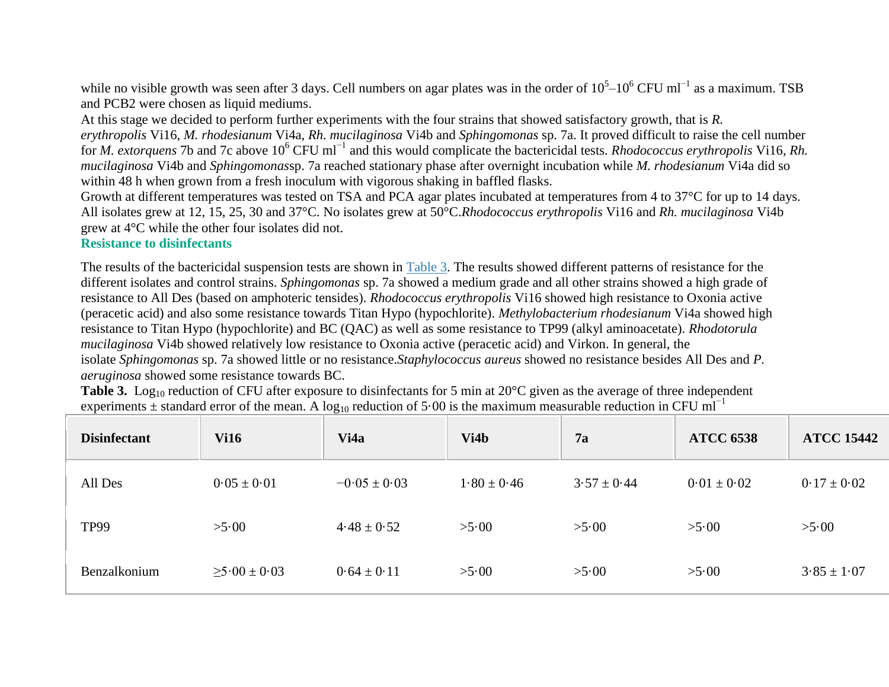while no visible growth was seen after 3 days. Cell numbers on agar plates was in the order of  $10^5-10^6$  CFU ml<sup>-1</sup> as a maximum. TSB and PCB2 were chosen as liquid mediums.

At this stage we decided to perform further experiments with the four strains that showed satisfactory growth, that is *R. erythropolis* Vi16, *M. rhodesianum* Vi4a, *Rh. mucilaginosa* Vi4b and *Sphingomonas* sp. 7a. It proved difficult to raise the cell number for *M. extorquens* 7b and 7c above 10<sup>6</sup> CFU ml<sup>-1</sup> and this would complicate the bactericidal tests. *Rhodococcus erythropolis* Vi16, *Rh. mucilaginosa* Vi4b and *Sphingomonas*sp. 7a reached stationary phase after overnight incubation while *M. rhodesianum* Vi4a did so within 48 h when grown from a fresh inoculum with vigorous shaking in baffled flasks.

Growth at different temperatures was tested on TSA and PCA agar plates incubated at temperatures from 4 to 37°C for up to 14 days. All isolates grew at 12, 15, 25, 30 and 37°C. No isolates grew at 50°C.*Rhodococcus erythropolis* Vi16 and *Rh. mucilaginosa* Vi4b grew at 4°C while the other four isolates did not.

#### **Resistance to disinfectants**

The results of the bactericidal suspension tests are shown in [Table](http://onlinelibrary.wiley.com/doi/10.1111/j.1365-2672.2004.02436.x/full#t3) 3. The results showed different patterns of resistance for the different isolates and control strains. *Sphingomonas* sp. 7a showed a medium grade and all other strains showed a high grade of resistance to All Des (based on amphoteric tensides). *Rhodococcus erythropolis* Vi16 showed high resistance to Oxonia active (peracetic acid) and also some resistance towards Titan Hypo (hypochlorite). *Methylobacterium rhodesianum* Vi4a showed high resistance to Titan Hypo (hypochlorite) and BC (QAC) as well as some resistance to TP99 (alkyl aminoacetate). *Rhodotorula mucilaginosa* Vi4b showed relatively low resistance to Oxonia active (peracetic acid) and Virkon. In general, the isolate *Sphingomonas* sp. 7a showed little or no resistance.*Staphylococcus aureus* showed no resistance besides All Des and *P. aeruginosa* showed some resistance towards BC.

| <b>Disinfectant</b> | <b>Vi16</b>          | Vi4a             | Vi4b            | 7a              | <b>ATCC 6538</b> | <b>ATCC 15442</b> |
|---------------------|----------------------|------------------|-----------------|-----------------|------------------|-------------------|
| All Des             | $0.05 \pm 0.01$      | $-0.05 \pm 0.03$ | $1.80 \pm 0.46$ | $3.57 \pm 0.44$ | $0.01 \pm 0.02$  | $0.17 \pm 0.02$   |
| <b>TP99</b>         | >5.00                | $4.48 \pm 0.52$  | >5.00           | >5.00           | >5.00            | >5.00             |
| Benzalkonium        | $\geq 5.00 \pm 0.03$ | $0.64 \pm 0.11$  | >5.00           | >5.00           | >5.00            | $3.85 \pm 1.07$   |

**Table 3.** Log<sub>10</sub> reduction of CFU after exposure to disinfectants for 5 min at 20°C given as the average of three independent experiments  $\pm$  standard error of the mean. A log<sub>10</sub> reduction of 5·00 is the maximum measurable reduction in CFU ml<sup>−1</sup>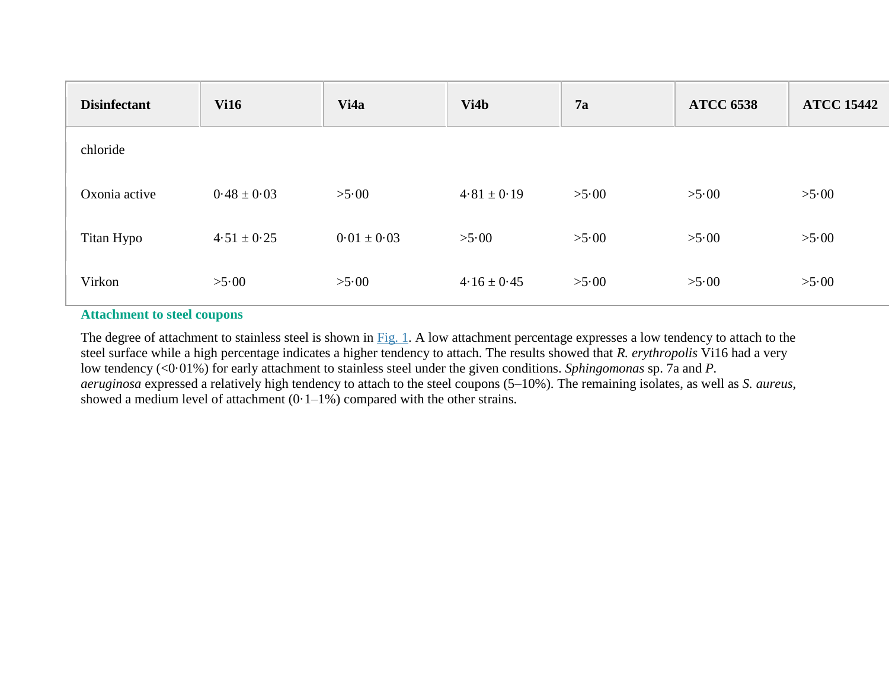| <b>Disinfectant</b> | <b>Vi16</b>     | Vi4a            | Vi4b            | 7a    | <b>ATCC 6538</b> | <b>ATCC 15442</b> |
|---------------------|-----------------|-----------------|-----------------|-------|------------------|-------------------|
| chloride            |                 |                 |                 |       |                  |                   |
| Oxonia active       | $0.48 \pm 0.03$ | >5.00           | $4.81 \pm 0.19$ | >5.00 | >5.00            | >5.00             |
| Titan Hypo          | $4.51 \pm 0.25$ | $0.01 \pm 0.03$ | >5.00           | >5.00 | >5.00            | >5.00             |
| Virkon              | >5.00           | >5.00           | $4.16 \pm 0.45$ | >5.00 | >5.00            | >5.00             |

### **Attachment to steel coupons**

The degree of attachment to stainless steel is shown in [Fig.](http://onlinelibrary.wiley.com/doi/10.1111/j.1365-2672.2004.02436.x/full#f1) 1. A low attachment percentage expresses a low tendency to attach to the steel surface while a high percentage indicates a higher tendency to attach. The results showed that *R. erythropolis* Vi16 had a very low tendency (<0·01%) for early attachment to stainless steel under the given conditions. *Sphingomonas* sp. 7a and *P. aeruginosa* expressed a relatively high tendency to attach to the steel coupons (5–10%). The remaining isolates, as well as *S. aureus*, showed a medium level of attachment  $(0.1-1\%)$  compared with the other strains.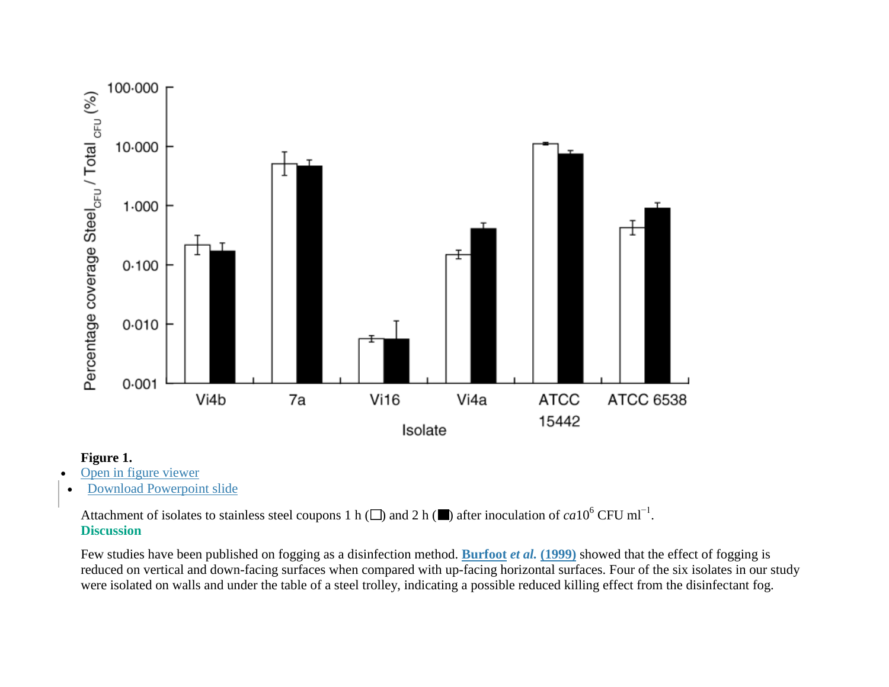

### **Figure 1.**

- [Open in figure viewer](http://onlinelibrary.wiley.com/enhanced/figures/doi/10.1111/j.1365-2672.2004.02436.x#figure-viewer-f1)
- [Download Powerpoint slide](http://api.onlinelibrary.wiley.com/asset/v1/doi/10.1111%2Fj.1365-2672.2004.02436.x/powerpoint/image_n%2FJAM_2436_f1.gif?l=j6%2BNsqLlmq9uEymRR9e%2BqIR8iPpik9BniHMruVEBhSPjOI5Fx4NyamAO%2FyhsyqvL%2BY4SGKJjeBSN%0AnnrGFYnKcQ%3D%3D&s=%22e3f2006a5d594e3e92ede92f6e181b56%22&a=wol)

Attachment of isolates to stainless steel coupons 1 h ( $\square$ ) and 2 h ( $\square$ ) after inoculation of *ca*10<sup>6</sup> CFU ml<sup>-1</sup>. **Discussion**

Few studies have been published on fogging as a disinfection method. **[Burfoot](http://onlinelibrary.wiley.com/doi/10.1111/j.1365-2672.2004.02436.x/full#b5)** *et al.* **(1999)** showed that the effect of fogging is reduced on vertical and down-facing surfaces when compared with up-facing horizontal surfaces. Four of the six isolates in our study were isolated on walls and under the table of a steel trolley, indicating a possible reduced killing effect from the disinfectant fog.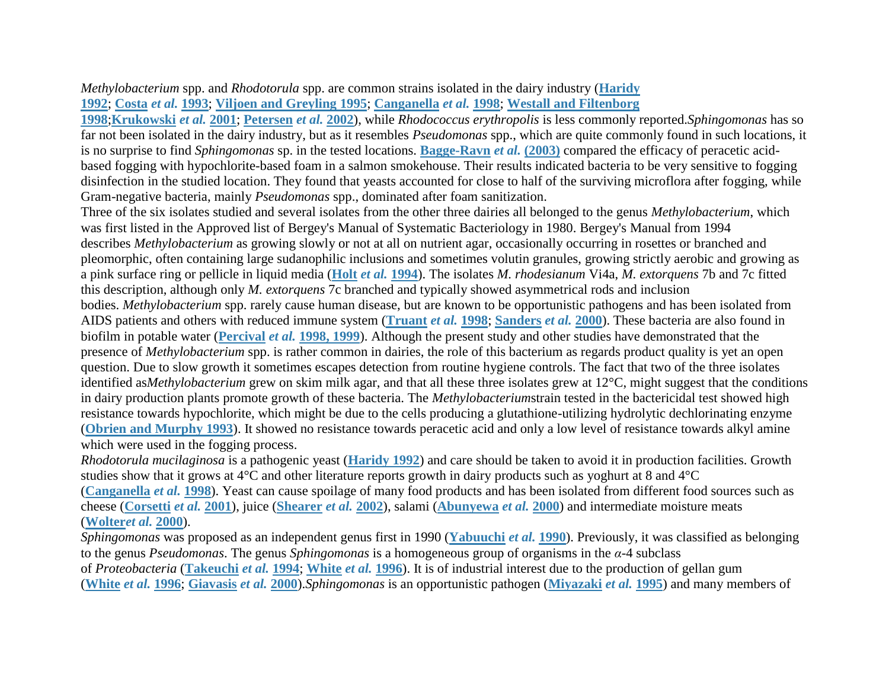# *Methylobacterium* spp. and *Rhodotorula* spp. are common strains isolated in the dairy industry (**[Haridy](http://onlinelibrary.wiley.com/doi/10.1111/j.1365-2672.2004.02436.x/full#b12)**

**[1992](http://onlinelibrary.wiley.com/doi/10.1111/j.1365-2672.2004.02436.x/full#b12)**; **[Costa](http://onlinelibrary.wiley.com/doi/10.1111/j.1365-2672.2004.02436.x/full#b8)** *et al.* **1993**; **[Viljoen and Greyling 1995](http://onlinelibrary.wiley.com/doi/10.1111/j.1365-2672.2004.02436.x/full#b42)**; **[Canganella](http://onlinelibrary.wiley.com/doi/10.1111/j.1365-2672.2004.02436.x/full#b6)** *et al.* **1998**; **[Westall and Filtenborg](http://onlinelibrary.wiley.com/doi/10.1111/j.1365-2672.2004.02436.x/full#b45)** 

**[1998](http://onlinelibrary.wiley.com/doi/10.1111/j.1365-2672.2004.02436.x/full#b45)**;**[Krukowski](http://onlinelibrary.wiley.com/doi/10.1111/j.1365-2672.2004.02436.x/full#b17)** *et al.* **2001**; **[Petersen](http://onlinelibrary.wiley.com/doi/10.1111/j.1365-2672.2004.02436.x/full#b29)** *et al.* **2002**), while *Rhodococcus erythropolis* is less commonly reported.*Sphingomonas* has so far not been isolated in the dairy industry, but as it resembles *Pseudomonas* spp., which are quite commonly found in such locations, it is no surprise to find *Sphingomonas* sp. in the tested locations. **[Bagge-Ravn](http://onlinelibrary.wiley.com/doi/10.1111/j.1365-2672.2004.02436.x/full#b3)** *et al.* **(2003)** compared the efficacy of peracetic acidbased fogging with hypochlorite-based foam in a salmon smokehouse. Their results indicated bacteria to be very sensitive to fogging disinfection in the studied location. They found that yeasts accounted for close to half of the surviving microflora after fogging, while Gram-negative bacteria, mainly *Pseudomonas* spp., dominated after foam sanitization.

Three of the six isolates studied and several isolates from the other three dairies all belonged to the genus *Methylobacterium*, which was first listed in the Approved list of Bergey's Manual of Systematic Bacteriology in 1980. Bergey's Manual from 1994 describes *Methylobacterium* as growing slowly or not at all on nutrient agar, occasionally occurring in rosettes or branched and pleomorphic, often containing large sudanophilic inclusions and sometimes volutin granules, growing strictly aerobic and growing as a pink surface ring or pellicle in liquid media (**Holt** *et al.* **[1994](http://onlinelibrary.wiley.com/doi/10.1111/j.1365-2672.2004.02436.x/full#b16)**). The isolates *M. rhodesianum* Vi4a, *M. extorquens* 7b and 7c fitted this description, although only *M. extorquens* 7c branched and typically showed asymmetrical rods and inclusion bodies. *Methylobacterium* spp. rarely cause human disease, but are known to be opportunistic pathogens and has been isolated from AIDS patients and others with reduced immune system (**[Truant](http://onlinelibrary.wiley.com/doi/10.1111/j.1365-2672.2004.02436.x/full#b40)** *et al.* **1998**; **[Sanders](http://onlinelibrary.wiley.com/doi/10.1111/j.1365-2672.2004.02436.x/full#b33)** *et al.* **2000**). These bacteria are also found in biofilm in potable water (**Percival** *et al.* **[1998, 1999](http://onlinelibrary.wiley.com/doi/10.1111/j.1365-2672.2004.02436.x/full#b27)**). Although the present study and other studies have demonstrated that the presence of *Methylobacterium* spp. is rather common in dairies, the role of this bacterium as regards product quality is yet an open question. Due to slow growth it sometimes escapes detection from routine hygiene controls. The fact that two of the three isolates identified as*Methylobacterium* grew on skim milk agar, and that all these three isolates grew at 12°C, might suggest that the conditions in dairy production plants promote growth of these bacteria. The *Methylobacterium*strain tested in the bactericidal test showed high resistance towards hypochlorite, which might be due to the cells producing a glutathione-utilizing hydrolytic dechlorinating enzyme (**[Obrien and Murphy 1993](http://onlinelibrary.wiley.com/doi/10.1111/j.1365-2672.2004.02436.x/full#b25)**). It showed no resistance towards peracetic acid and only a low level of resistance towards alkyl amine which were used in the fogging process.

*Rhodotorula mucilaginosa* is a pathogenic yeast (**[Haridy 1992](http://onlinelibrary.wiley.com/doi/10.1111/j.1365-2672.2004.02436.x/full#b12)**) and care should be taken to avoid it in production facilities. Growth studies show that it grows at 4°C and other literature reports growth in dairy products such as yoghurt at 8 and 4°C (**[Canganella](http://onlinelibrary.wiley.com/doi/10.1111/j.1365-2672.2004.02436.x/full#b6)** *et al.* **1998**). Yeast can cause spoilage of many food products and has been isolated from different food sources such as cheese (**[Corsetti](http://onlinelibrary.wiley.com/doi/10.1111/j.1365-2672.2004.02436.x/full#b7)** *et al.* **2001**), juice (**[Shearer](http://onlinelibrary.wiley.com/doi/10.1111/j.1365-2672.2004.02436.x/full#b35)** *et al.* **2002**), salami (**[Abunyewa](http://onlinelibrary.wiley.com/doi/10.1111/j.1365-2672.2004.02436.x/full#b1)** *et al.* **2000**) and intermediate moisture meats (**[Wolter](http://onlinelibrary.wiley.com/doi/10.1111/j.1365-2672.2004.02436.x/full#b47)***et al.* **2000**).

*Sphingomonas* was proposed as an independent genus first in 1990 (**[Yabuuchi](http://onlinelibrary.wiley.com/doi/10.1111/j.1365-2672.2004.02436.x/full#b48)** *et al.* **1990**). Previously, it was classified as belonging to the genus *Pseudomonas*. The genus *Sphingomonas* is a homogeneous group of organisms in the *α*-4 subclass of *Proteobacteria* (**[Takeuchi](http://onlinelibrary.wiley.com/doi/10.1111/j.1365-2672.2004.02436.x/full#b39)** *et al.* **1994**; **[White](http://onlinelibrary.wiley.com/doi/10.1111/j.1365-2672.2004.02436.x/full#b46)** *et al.* **1996**). It is of industrial interest due to the production of gellan gum (**[White](http://onlinelibrary.wiley.com/doi/10.1111/j.1365-2672.2004.02436.x/full#b46)** *et al.* **1996**; **[Giavasis](http://onlinelibrary.wiley.com/doi/10.1111/j.1365-2672.2004.02436.x/full#b10)** *et al.* **2000**).*Sphingomonas* is an opportunistic pathogen (**[Miyazaki](http://onlinelibrary.wiley.com/doi/10.1111/j.1365-2672.2004.02436.x/full#b23)** *et al.* **1995**) and many members of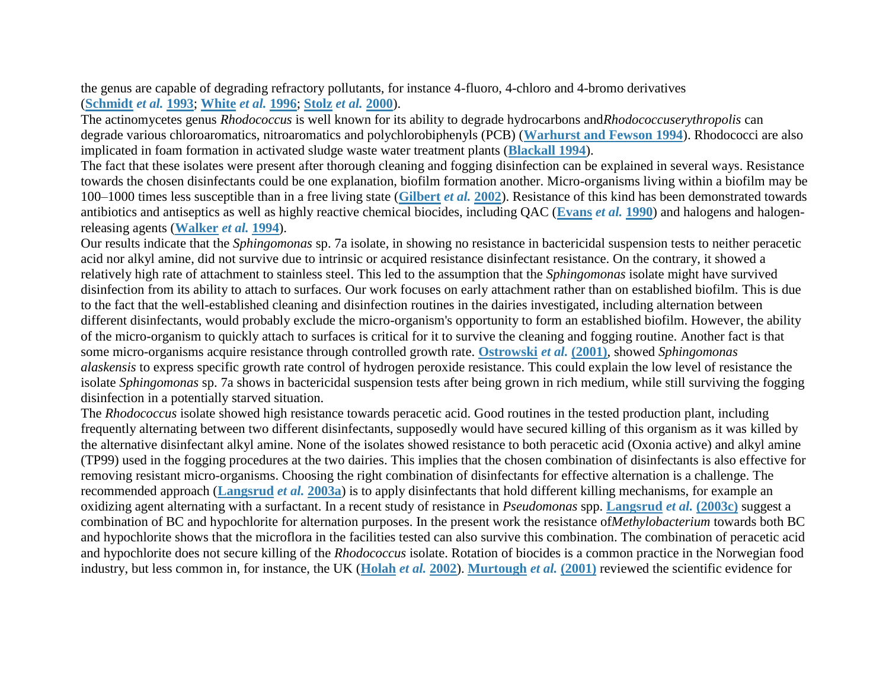the genus are capable of degrading refractory pollutants, for instance 4-fluoro, 4-chloro and 4-bromo derivatives (**[Schmidt](http://onlinelibrary.wiley.com/doi/10.1111/j.1365-2672.2004.02436.x/full#b34)** *et al.* **1993**; **[White](http://onlinelibrary.wiley.com/doi/10.1111/j.1365-2672.2004.02436.x/full#b46)** *et al.* **1996**; **[Stolz](http://onlinelibrary.wiley.com/doi/10.1111/j.1365-2672.2004.02436.x/full#b37)** *et al.* **2000**).

The actinomycetes genus *Rhodococcus* is well known for its ability to degrade hydrocarbons and*Rhodococcuserythropolis* can degrade various chloroaromatics, nitroaromatics and polychlorobiphenyls (PCB) (**[Warhurst and Fewson 1994](http://onlinelibrary.wiley.com/doi/10.1111/j.1365-2672.2004.02436.x/full#b44)**). Rhodococci are also implicated in foam formation in activated sludge waste water treatment plants (**[Blackall 1994](http://onlinelibrary.wiley.com/doi/10.1111/j.1365-2672.2004.02436.x/full#b4)**).

The fact that these isolates were present after thorough cleaning and fogging disinfection can be explained in several ways. Resistance towards the chosen disinfectants could be one explanation, biofilm formation another. Micro-organisms living within a biofilm may be 100–1000 times less susceptible than in a free living state (**[Gilbert](http://onlinelibrary.wiley.com/doi/10.1111/j.1365-2672.2004.02436.x/full#b11)** *et al.* **2002**). Resistance of this kind has been demonstrated towards antibiotics and antiseptics as well as highly reactive chemical biocides, including QAC (**[Evans](http://onlinelibrary.wiley.com/doi/10.1111/j.1365-2672.2004.02436.x/full#b9)** *et al.* **1990**) and halogens and halogenreleasing agents (**[Walker](http://onlinelibrary.wiley.com/doi/10.1111/j.1365-2672.2004.02436.x/full#b43)** *et al.* **1994**).

Our results indicate that the *Sphingomonas* sp. 7a isolate, in showing no resistance in bactericidal suspension tests to neither peracetic acid nor alkyl amine, did not survive due to intrinsic or acquired resistance disinfectant resistance. On the contrary, it showed a relatively high rate of attachment to stainless steel. This led to the assumption that the *Sphingomonas* isolate might have survived disinfection from its ability to attach to surfaces. Our work focuses on early attachment rather than on established biofilm. This is due to the fact that the well-established cleaning and disinfection routines in the dairies investigated, including alternation between different disinfectants, would probably exclude the micro-organism's opportunity to form an established biofilm. However, the ability of the micro-organism to quickly attach to surfaces is critical for it to survive the cleaning and fogging routine. Another fact is that some micro-organisms acquire resistance through controlled growth rate. **[Ostrowski](http://onlinelibrary.wiley.com/doi/10.1111/j.1365-2672.2004.02436.x/full#b26)** *et al.* **(2001)**, showed *Sphingomonas alaskensis* to express specific growth rate control of hydrogen peroxide resistance. This could explain the low level of resistance the isolate *Sphingomonas* sp. 7a shows in bactericidal suspension tests after being grown in rich medium, while still surviving the fogging disinfection in a potentially starved situation.

The *Rhodococcus* isolate showed high resistance towards peracetic acid. Good routines in the tested production plant, including frequently alternating between two different disinfectants, supposedly would have secured killing of this organism as it was killed by the alternative disinfectant alkyl amine. None of the isolates showed resistance to both peracetic acid (Oxonia active) and alkyl amine (TP99) used in the fogging procedures at the two dairies. This implies that the chosen combination of disinfectants is also effective for removing resistant micro-organisms. Choosing the right combination of disinfectants for effective alternation is a challenge. The recommended approach (**[Langsrud](http://onlinelibrary.wiley.com/doi/10.1111/j.1365-2672.2004.02436.x/full#b19)** *et al.* **2003a**) is to apply disinfectants that hold different killing mechanisms, for example an oxidizing agent alternating with a surfactant. In a recent study of resistance in *Pseudomonas* spp. **[Langsrud](http://onlinelibrary.wiley.com/doi/10.1111/j.1365-2672.2004.02436.x/full#b21)** *et al.* **(2003c)** suggest a combination of BC and hypochlorite for alternation purposes. In the present work the resistance of*Methylobacterium* towards both BC and hypochlorite shows that the microflora in the facilities tested can also survive this combination. The combination of peracetic acid and hypochlorite does not secure killing of the *Rhodococcus* isolate. Rotation of biocides is a common practice in the Norwegian food industry, but less common in, for instance, the UK (**[Holah](http://onlinelibrary.wiley.com/doi/10.1111/j.1365-2672.2004.02436.x/full#b15)** *et al.* **2002**). **[Murtough](http://onlinelibrary.wiley.com/doi/10.1111/j.1365-2672.2004.02436.x/full#b24)** *et al.* **(2001)** reviewed the scientific evidence for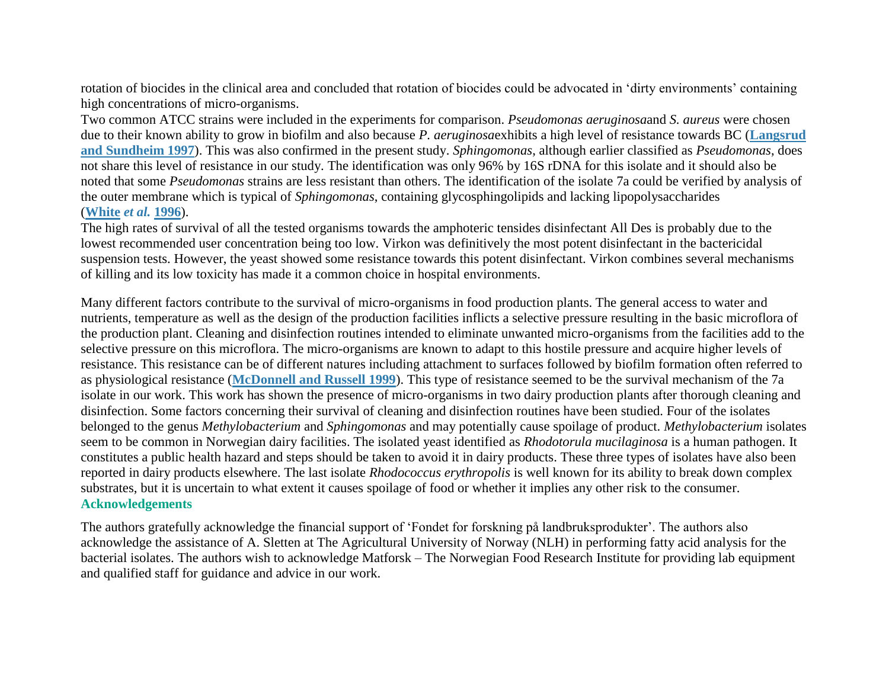rotation of biocides in the clinical area and concluded that rotation of biocides could be advocated in 'dirty environments' containing high concentrations of micro-organisms.

Two common ATCC strains were included in the experiments for comparison. *Pseudomonas aeruginosa*and *S. aureus* were chosen due to their known ability to grow in biofilm and also because *P. aeruginosa*exhibits a high level of resistance towards BC (**[Langsrud](http://onlinelibrary.wiley.com/doi/10.1111/j.1365-2672.2004.02436.x/full#b18)  [and Sundheim 1997](http://onlinelibrary.wiley.com/doi/10.1111/j.1365-2672.2004.02436.x/full#b18)**). This was also confirmed in the present study. *Sphingomonas*, although earlier classified as *Pseudomonas*, does not share this level of resistance in our study. The identification was only 96% by 16S rDNA for this isolate and it should also be noted that some *Pseudomonas* strains are less resistant than others. The identification of the isolate 7a could be verified by analysis of the outer membrane which is typical of *Sphingomonas*, containing glycosphingolipids and lacking lipopolysaccharides (**[White](http://onlinelibrary.wiley.com/doi/10.1111/j.1365-2672.2004.02436.x/full#b46)** *et al.* **1996**).

The high rates of survival of all the tested organisms towards the amphoteric tensides disinfectant All Des is probably due to the lowest recommended user concentration being too low. Virkon was definitively the most potent disinfectant in the bactericidal suspension tests. However, the yeast showed some resistance towards this potent disinfectant. Virkon combines several mechanisms of killing and its low toxicity has made it a common choice in hospital environments.

Many different factors contribute to the survival of micro-organisms in food production plants. The general access to water and nutrients, temperature as well as the design of the production facilities inflicts a selective pressure resulting in the basic microflora of the production plant. Cleaning and disinfection routines intended to eliminate unwanted micro-organisms from the facilities add to the selective pressure on this microflora. The micro-organisms are known to adapt to this hostile pressure and acquire higher levels of resistance. This resistance can be of different natures including attachment to surfaces followed by biofilm formation often referred to as physiological resistance (**[McDonnell and Russell 1999](http://onlinelibrary.wiley.com/doi/10.1111/j.1365-2672.2004.02436.x/full#b22)**). This type of resistance seemed to be the survival mechanism of the 7a isolate in our work. This work has shown the presence of micro-organisms in two dairy production plants after thorough cleaning and disinfection. Some factors concerning their survival of cleaning and disinfection routines have been studied. Four of the isolates belonged to the genus *Methylobacterium* and *Sphingomonas* and may potentially cause spoilage of product. *Methylobacterium* isolates seem to be common in Norwegian dairy facilities. The isolated yeast identified as *Rhodotorula mucilaginosa* is a human pathogen. It constitutes a public health hazard and steps should be taken to avoid it in dairy products. These three types of isolates have also been reported in dairy products elsewhere. The last isolate *Rhodococcus erythropolis* is well known for its ability to break down complex substrates, but it is uncertain to what extent it causes spoilage of food or whether it implies any other risk to the consumer. **Acknowledgements**

The authors gratefully acknowledge the financial support of 'Fondet for forskning på landbruksprodukter'. The authors also acknowledge the assistance of A. Sletten at The Agricultural University of Norway (NLH) in performing fatty acid analysis for the bacterial isolates. The authors wish to acknowledge Matforsk – The Norwegian Food Research Institute for providing lab equipment and qualified staff for guidance and advice in our work.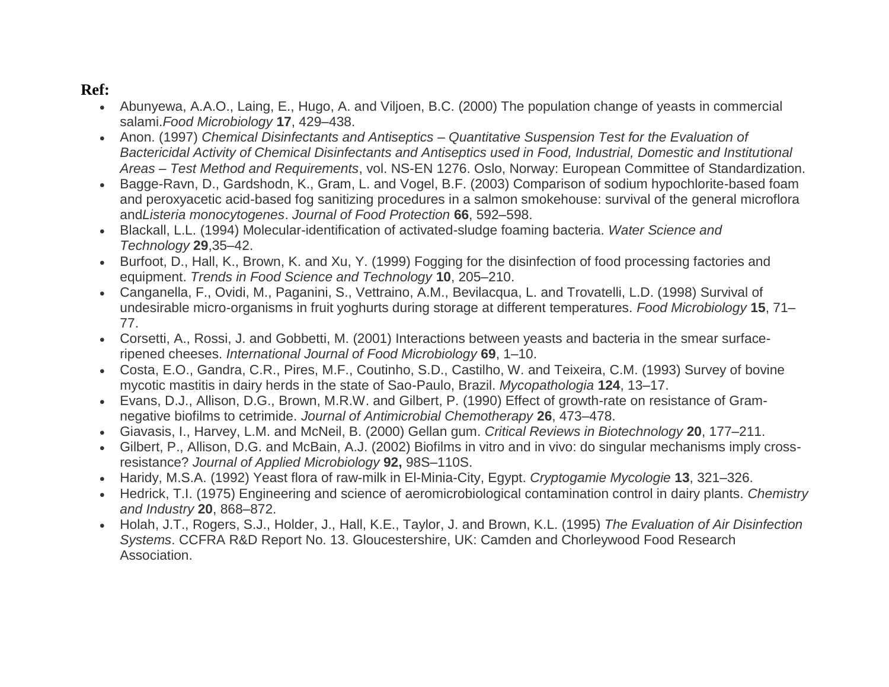# **Ref:**

- Abunyewa, A.A.O., Laing, E., Hugo, A. and Viljoen, B.C. (2000) The population change of yeasts in commercial salami.*Food Microbiology* **17**, 429–438.
- Anon. (1997) *Chemical Disinfectants and Antiseptics – Quantitative Suspension Test for the Evaluation of Bactericidal Activity of Chemical Disinfectants and Antiseptics used in Food, Industrial, Domestic and Institutional Areas – Test Method and Requirements*, vol. NS-EN 1276. Oslo, Norway: European Committee of Standardization.
- Bagge-Ravn, D., Gardshodn, K., Gram, L. and Vogel, B.F. (2003) Comparison of sodium hypochlorite-based foam and peroxyacetic acid-based fog sanitizing procedures in a salmon smokehouse: survival of the general microflora and*Listeria monocytogenes*. *Journal of Food Protection* **66**, 592–598.
- Blackall, L.L. (1994) Molecular-identification of activated-sludge foaming bacteria. *Water Science and Technology* **29**,35–42.
- Burfoot, D., Hall, K., Brown, K. and Xu, Y. (1999) Fogging for the disinfection of food processing factories and equipment. *Trends in Food Science and Technology* **10**, 205–210.
- Canganella, F., Ovidi, M., Paganini, S., Vettraino, A.M., Bevilacqua, L. and Trovatelli, L.D. (1998) Survival of undesirable micro-organisms in fruit yoghurts during storage at different temperatures. *Food Microbiology* **15**, 71– 77.
- Corsetti, A., Rossi, J. and Gobbetti, M. (2001) Interactions between yeasts and bacteria in the smear surfaceripened cheeses. *International Journal of Food Microbiology* **69**, 1–10.
- Costa, E.O., Gandra, C.R., Pires, M.F., Coutinho, S.D., Castilho, W. and Teixeira, C.M. (1993) Survey of bovine mycotic mastitis in dairy herds in the state of Sao-Paulo, Brazil. *Mycopathologia* **124**, 13–17.
- Evans, D.J., Allison, D.G., Brown, M.R.W. and Gilbert, P. (1990) Effect of growth-rate on resistance of Gramnegative biofilms to cetrimide. *Journal of Antimicrobial Chemotherapy* **26**, 473–478.
- Giavasis, I., Harvey, L.M. and McNeil, B. (2000) Gellan gum. *Critical Reviews in Biotechnology* **20**, 177–211.
- Gilbert, P., Allison, D.G. and McBain, A.J. (2002) Biofilms in vitro and in vivo: do singular mechanisms imply crossresistance? *Journal of Applied Microbiology* **92,** 98S–110S.
- Haridy, M.S.A. (1992) Yeast flora of raw-milk in El-Minia-City, Egypt. *Cryptogamie Mycologie* **13**, 321–326.
- Hedrick, T.I. (1975) Engineering and science of aeromicrobiological contamination control in dairy plants. *Chemistry and Industry* **20**, 868–872.
- Holah, J.T., Rogers, S.J., Holder, J., Hall, K.E., Taylor, J. and Brown, K.L. (1995) *The Evaluation of Air Disinfection Systems*. CCFRA R&D Report No. 13. Gloucestershire, UK: Camden and Chorleywood Food Research Association.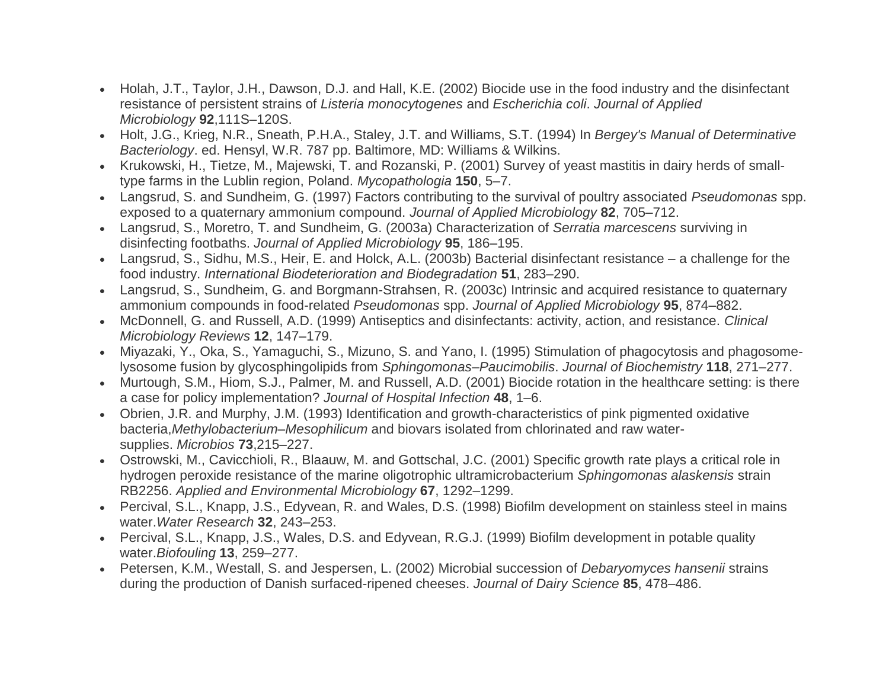- Holah, J.T., Taylor, J.H., Dawson, D.J. and Hall, K.E. (2002) Biocide use in the food industry and the disinfectant resistance of persistent strains of *Listeria monocytogenes* and *Escherichia coli*. *Journal of Applied Microbiology* **92**,111S–120S.
- Holt, J.G., Krieg, N.R., Sneath, P.H.A., Staley, J.T. and Williams, S.T. (1994) In *Bergey's Manual of Determinative Bacteriology*. ed. Hensyl, W.R. 787 pp. Baltimore, MD: Williams & Wilkins.
- Krukowski, H., Tietze, M., Majewski, T. and Rozanski, P. (2001) Survey of yeast mastitis in dairy herds of smalltype farms in the Lublin region, Poland. *Mycopathologia* **150**, 5–7.
- Langsrud, S. and Sundheim, G. (1997) Factors contributing to the survival of poultry associated *Pseudomonas* spp. exposed to a quaternary ammonium compound. *Journal of Applied Microbiology* **82**, 705–712.
- Langsrud, S., Moretro, T. and Sundheim, G. (2003a) Characterization of *Serratia marcescens* surviving in disinfecting footbaths. *Journal of Applied Microbiology* **95**, 186–195.
- Langsrud, S., Sidhu, M.S., Heir, E. and Holck, A.L. (2003b) Bacterial disinfectant resistance a challenge for the food industry. *International Biodeterioration and Biodegradation* **51**, 283–290.
- Langsrud, S., Sundheim, G. and Borgmann-Strahsen, R. (2003c) Intrinsic and acquired resistance to quaternary ammonium compounds in food-related *Pseudomonas* spp. *Journal of Applied Microbiology* **95**, 874–882.
- McDonnell, G. and Russell, A.D. (1999) Antiseptics and disinfectants: activity, action, and resistance. *Clinical Microbiology Reviews* **12**, 147–179.
- Miyazaki, Y., Oka, S., Yamaguchi, S., Mizuno, S. and Yano, I. (1995) Stimulation of phagocytosis and phagosomelysosome fusion by glycosphingolipids from *Sphingomonas*–*Paucimobilis*. *Journal of Biochemistry* **118**, 271–277.
- Murtough, S.M., Hiom, S.J., Palmer, M. and Russell, A.D. (2001) Biocide rotation in the healthcare setting: is there a case for policy implementation? *Journal of Hospital Infection* **48**, 1–6.
- Obrien, J.R. and Murphy, J.M. (1993) Identification and growth-characteristics of pink pigmented oxidative bacteria,*Methylobacterium*–*Mesophilicum* and biovars isolated from chlorinated and raw watersupplies. *Microbios* **73**,215–227.
- Ostrowski, M., Cavicchioli, R., Blaauw, M. and Gottschal, J.C. (2001) Specific growth rate plays a critical role in hydrogen peroxide resistance of the marine oligotrophic ultramicrobacterium *Sphingomonas alaskensis* strain RB2256. *Applied and Environmental Microbiology* **67**, 1292–1299.
- Percival, S.L., Knapp, J.S., Edyvean, R. and Wales, D.S. (1998) Biofilm development on stainless steel in mains water.*Water Research* **32**, 243–253.
- Percival, S.L., Knapp, J.S., Wales, D.S. and Edyvean, R.G.J. (1999) Biofilm development in potable quality water.*Biofouling* **13**, 259–277.
- Petersen, K.M., Westall, S. and Jespersen, L. (2002) Microbial succession of *Debaryomyces hansenii* strains during the production of Danish surfaced-ripened cheeses. *Journal of Dairy Science* **85**, 478–486.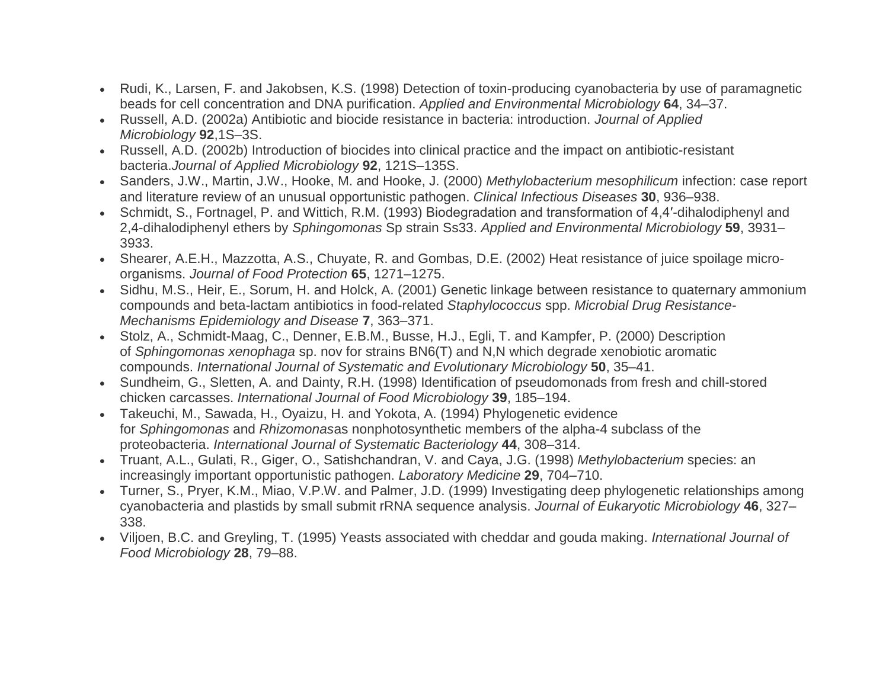- Rudi, K., Larsen, F. and Jakobsen, K.S. (1998) Detection of toxin-producing cyanobacteria by use of paramagnetic beads for cell concentration and DNA purification. *Applied and Environmental Microbiology* **64**, 34–37.
- Russell, A.D. (2002a) Antibiotic and biocide resistance in bacteria: introduction. *Journal of Applied Microbiology* **92**,1S–3S.
- Russell, A.D. (2002b) Introduction of biocides into clinical practice and the impact on antibiotic-resistant bacteria.*Journal of Applied Microbiology* **92**, 121S–135S.
- Sanders, J.W., Martin, J.W., Hooke, M. and Hooke, J. (2000) *Methylobacterium mesophilicum* infection: case report and literature review of an unusual opportunistic pathogen. *Clinical Infectious Diseases* **30**, 936–938.
- Schmidt, S., Fortnagel, P. and Wittich, R.M. (1993) Biodegradation and transformation of 4,4'-dihalodiphenyl and 2,4-dihalodiphenyl ethers by *Sphingomonas* Sp strain Ss33. *Applied and Environmental Microbiology* **59**, 3931– 3933.
- Shearer, A.E.H., Mazzotta, A.S., Chuyate, R. and Gombas, D.E. (2002) Heat resistance of juice spoilage microorganisms. *Journal of Food Protection* **65**, 1271–1275.
- Sidhu, M.S., Heir, E., Sorum, H. and Holck, A. (2001) Genetic linkage between resistance to quaternary ammonium compounds and beta-lactam antibiotics in food-related *Staphylococcus* spp. *Microbial Drug Resistance-Mechanisms Epidemiology and Disease* **7**, 363–371.
- Stolz, A., Schmidt-Maag, C., Denner, E.B.M., Busse, H.J., Egli, T. and Kampfer, P. (2000) Description of *Sphingomonas xenophaga* sp. nov for strains BN6(T) and N,N which degrade xenobiotic aromatic compounds. *International Journal of Systematic and Evolutionary Microbiology* **50**, 35–41.
- Sundheim, G., Sletten, A. and Dainty, R.H. (1998) Identification of pseudomonads from fresh and chill-stored chicken carcasses. *International Journal of Food Microbiology* **39**, 185–194.
- Takeuchi, M., Sawada, H., Oyaizu, H. and Yokota, A. (1994) Phylogenetic evidence for *Sphingomonas* and *Rhizomonas*as nonphotosynthetic members of the alpha-4 subclass of the proteobacteria. *International Journal of Systematic Bacteriology* **44**, 308–314.
- Truant, A.L., Gulati, R., Giger, O., Satishchandran, V. and Caya, J.G. (1998) *Methylobacterium* species: an increasingly important opportunistic pathogen. *Laboratory Medicine* **29**, 704–710.
- Turner, S., Pryer, K.M., Miao, V.P.W. and Palmer, J.D. (1999) Investigating deep phylogenetic relationships among cyanobacteria and plastids by small submit rRNA sequence analysis. *Journal of Eukaryotic Microbiology* **46**, 327– 338.
- Viljoen, B.C. and Greyling, T. (1995) Yeasts associated with cheddar and gouda making. *International Journal of Food Microbiology* **28**, 79–88.